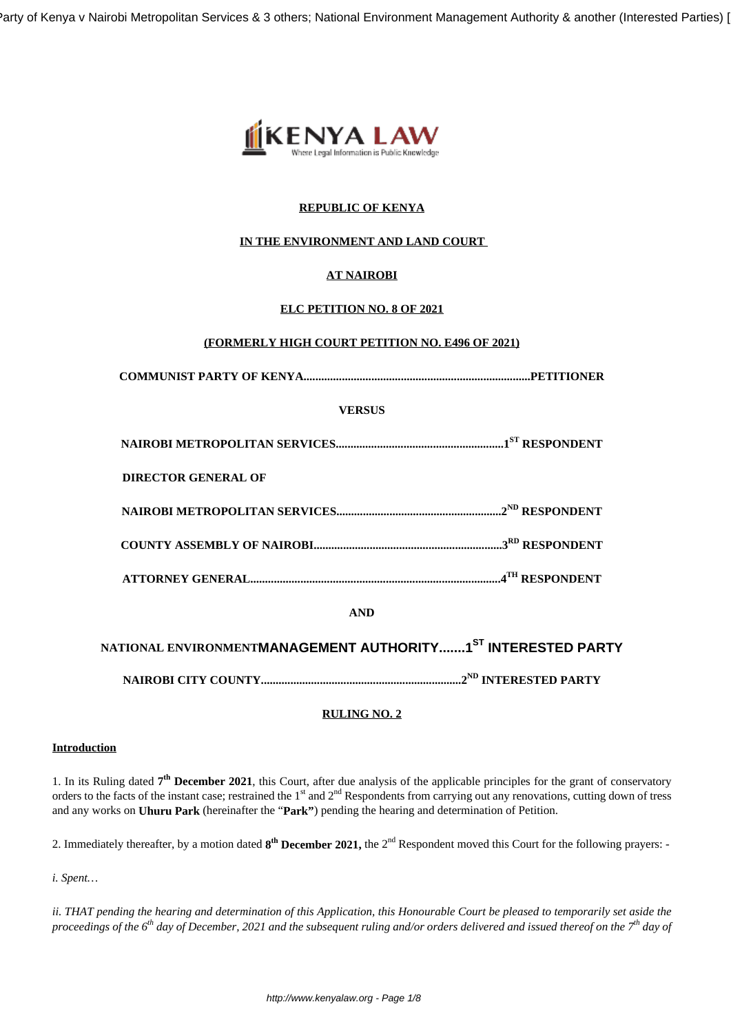Party of Kenya v Nairobi Metropolitan Services & 3 others; National Environment Management Authority & another (Interested Parties)



# **REPUBLIC OF KENYA**

# **IN THE ENVIRONMENT AND LAND COURT**

# **AT NAIROBI**

# **ELC PETITION NO. 8 OF 2021**

#### **(FORMERLY HIGH COURT PETITION NO. E496 OF 2021)**

| <b>VERSUS</b>                                                                   |  |
|---------------------------------------------------------------------------------|--|
|                                                                                 |  |
| <b>DIRECTOR GENERAL OF</b>                                                      |  |
|                                                                                 |  |
|                                                                                 |  |
|                                                                                 |  |
| <b>AND</b>                                                                      |  |
| NATIONAL ENVIRONMENT <b>MANAGEMENT AUTHORITY1<sup>ST</sup> INTERESTED PARTY</b> |  |
|                                                                                 |  |

# **RULING NO. 2**

#### **Introduction**

1. In its Ruling dated 7<sup>th</sup> December 2021, this Court, after due analysis of the applicable principles for the grant of conservatory orders to the facts of the instant case; restrained the 1<sup>st</sup> and 2<sup>nd</sup> Respondents from carrying out any renovations, cutting down of tress and any works on **Uhuru Park** (hereinafter the "**Park"**) pending the hearing and determination of Petition.

2. Immediately thereafter, by a motion dated  $8^{th}$  December 2021, the 2<sup>nd</sup> Respondent moved this Court for the following prayers: -

*i. Spent…*

*ii. THAT pending the hearing and determination of this Application, this Honourable Court be pleased to temporarily set aside the proceedings of the 6th day of December, 2021 and the subsequent ruling and/or orders delivered and issued thereof on the 7th day of*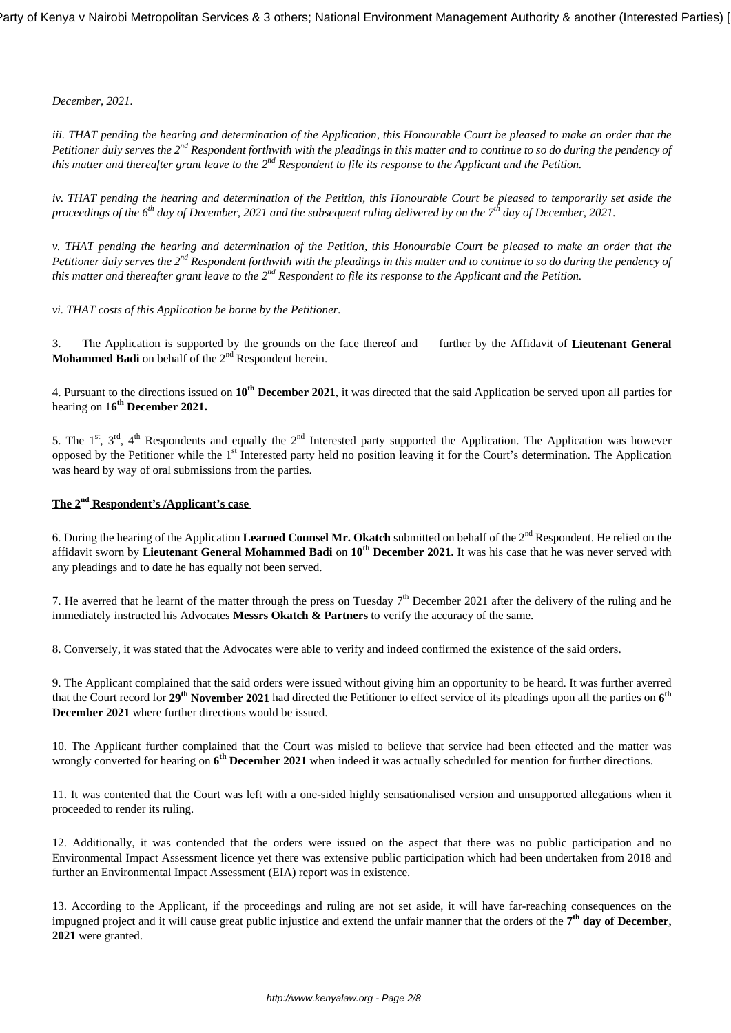*December, 2021.*

*iii. THAT pending the hearing and determination of the Application, this Honourable Court be pleased to make an order that the Petitioner duly serves the 2nd Respondent forthwith with the pleadings in this matter and to continue to so do during the pendency of this matter and thereafter grant leave to the 2nd Respondent to file its response to the Applicant and the Petition.*

*iv. THAT pending the hearing and determination of the Petition, this Honourable Court be pleased to temporarily set aside the proceedings of the 6th day of December, 2021 and the subsequent ruling delivered by on the 7th day of December, 2021.*

*v. THAT pending the hearing and determination of the Petition, this Honourable Court be pleased to make an order that the Petitioner duly serves the 2nd Respondent forthwith with the pleadings in this matter and to continue to so do during the pendency of this matter and thereafter grant leave to the 2nd Respondent to file its response to the Applicant and the Petition.*

*vi. THAT costs of this Application be borne by the Petitioner.* 

3. The Application is supported by the grounds on the face thereof and further by the Affidavit of **Lieutenant General Mohammed Badi** on behalf of the 2<sup>nd</sup> Respondent herein.

4. Pursuant to the directions issued on **10th December 2021**, it was directed that the said Application be served upon all parties for hearing on 1**6 th December 2021.**

5. The 1<sup>st</sup>, 3<sup>rd</sup>, 4<sup>th</sup> Respondents and equally the 2<sup>nd</sup> Interested party supported the Application. The Application was however opposed by the Petitioner while the 1st Interested party held no position leaving it for the Court's determination. The Application was heard by way of oral submissions from the parties.

# **The 2nd Respondent's /Applicant's case**

6. During the hearing of the Application Learned Counsel Mr. Okatch submitted on behalf of the 2<sup>nd</sup> Respondent. He relied on the affidavit sworn by **Lieutenant General Mohammed Badi** on **10th December 2021.** It was his case that he was never served with any pleadings and to date he has equally not been served.

7. He averred that he learnt of the matter through the press on Tuesday  $7<sup>th</sup>$  December 2021 after the delivery of the ruling and he immediately instructed his Advocates **Messrs Okatch & Partners** to verify the accuracy of the same.

8. Conversely, it was stated that the Advocates were able to verify and indeed confirmed the existence of the said orders.

9. The Applicant complained that the said orders were issued without giving him an opportunity to be heard. It was further averred that the Court record for **29th November 2021** had directed the Petitioner to effect service of its pleadings upon all the parties on **6 th December 2021** where further directions would be issued.

10. The Applicant further complained that the Court was misled to believe that service had been effected and the matter was wrongly converted for hearing on 6<sup>th</sup> December 2021 when indeed it was actually scheduled for mention for further directions.

11. It was contented that the Court was left with a one-sided highly sensationalised version and unsupported allegations when it proceeded to render its ruling.

12. Additionally, it was contended that the orders were issued on the aspect that there was no public participation and no Environmental Impact Assessment licence yet there was extensive public participation which had been undertaken from 2018 and further an Environmental Impact Assessment (EIA) report was in existence.

13. According to the Applicant, if the proceedings and ruling are not set aside, it will have far-reaching consequences on the impugned project and it will cause great public injustice and extend the unfair manner that the orders of the 7<sup>th</sup> day of December, **2021** were granted.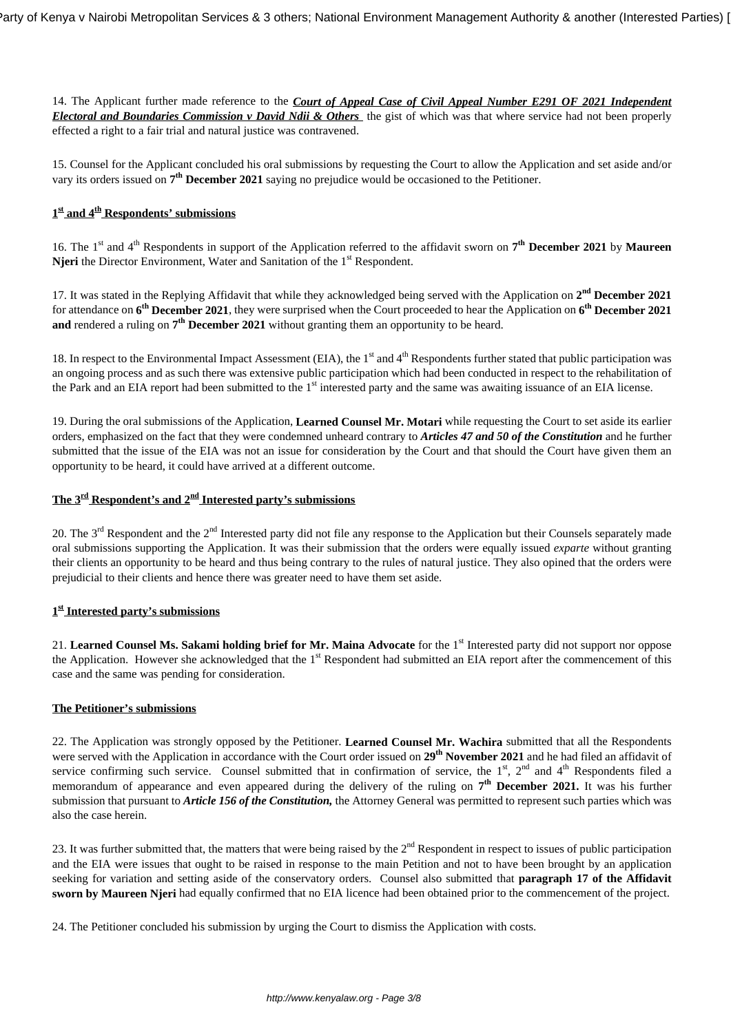14. The Applicant further made reference to the *Court of Appeal Case of Civil Appeal Number E291 OF 2021 Independent Electoral and Boundaries Commission v David Ndii & Others* the gist of which was that where service had not been properly effected a right to a fair trial and natural justice was contravened.

15. Counsel for the Applicant concluded his oral submissions by requesting the Court to allow the Application and set aside and/or vary its orders issued on **7 th December 2021** saying no prejudice would be occasioned to the Petitioner.

### **1 st and 4th Respondents' submissions**

16. The 1<sup>st</sup> and 4<sup>th</sup> Respondents in support of the Application referred to the affidavit sworn on 7<sup>th</sup> December 2021 by Maureen **Njeri** the Director Environment, Water and Sanitation of the 1<sup>st</sup> Respondent.

17. It was stated in the Replying Affidavit that while they acknowledged being served with the Application on  $2^{nd}$  December 2021 for attendance on **6 th December 2021**, they were surprised when the Court proceeded to hear the Application on **6 th December 2021 and** rendered a ruling on **7th December 2021** without granting them an opportunity to be heard.

18. In respect to the Environmental Impact Assessment (EIA), the  $1<sup>st</sup>$  and  $4<sup>th</sup>$  Respondents further stated that public participation was an ongoing process and as such there was extensive public participation which had been conducted in respect to the rehabilitation of the Park and an EIA report had been submitted to the 1<sup>st</sup> interested party and the same was awaiting issuance of an EIA license.

19. During the oral submissions of the Application, **Learned Counsel Mr. Motari** while requesting the Court to set aside its earlier orders, emphasized on the fact that they were condemned unheard contrary to *Articles 47 and 50 of the Constitution* and he further submitted that the issue of the EIA was not an issue for consideration by the Court and that should the Court have given them an opportunity to be heard, it could have arrived at a different outcome.

#### **The 3rd Respondent's and 2nd Interested party's submissions**

20. The  $3<sup>rd</sup>$  Respondent and the  $2<sup>nd</sup>$  Interested party did not file any response to the Application but their Counsels separately made oral submissions supporting the Application. It was their submission that the orders were equally issued *exparte* without granting their clients an opportunity to be heard and thus being contrary to the rules of natural justice. They also opined that the orders were prejudicial to their clients and hence there was greater need to have them set aside.

#### **1 st Interested party's submissions**

21. Learned Counsel Ms. Sakami holding brief for Mr. Maina Advocate for the 1<sup>st</sup> Interested party did not support nor oppose the Application. However she acknowledged that the  $1<sup>st</sup>$  Respondent had submitted an EIA report after the commencement of this case and the same was pending for consideration.

# **The Petitioner's submissions**

22. The Application was strongly opposed by the Petitioner. **Learned Counsel Mr. Wachira** submitted that all the Respondents were served with the Application in accordance with the Court order issued on **29th November 2021** and he had filed an affidavit of service confirming such service. Counsel submitted that in confirmation of service, the  $1<sup>st</sup>$ ,  $2<sup>nd</sup>$  and  $4<sup>th</sup>$  Respondents filed a memorandum of appearance and even appeared during the delivery of the ruling on  $7<sup>th</sup>$  December 2021. It was his further submission that pursuant to *Article 156 of the Constitution,* the Attorney General was permitted to represent such parties which was also the case herein.

23. It was further submitted that, the matters that were being raised by the 2<sup>nd</sup> Respondent in respect to issues of public participation and the EIA were issues that ought to be raised in response to the main Petition and not to have been brought by an application seeking for variation and setting aside of the conservatory orders. Counsel also submitted that **paragraph 17 of the Affidavit sworn by Maureen Njeri** had equally confirmed that no EIA licence had been obtained prior to the commencement of the project.

24. The Petitioner concluded his submission by urging the Court to dismiss the Application with costs.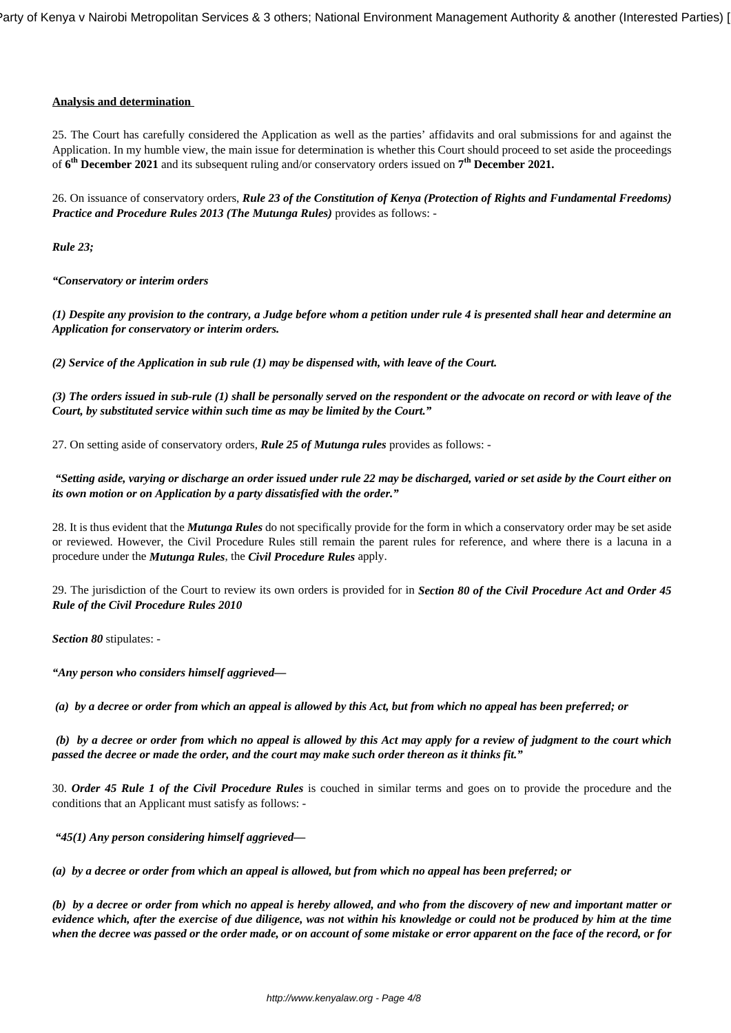#### **Analysis and determination**

25. The Court has carefully considered the Application as well as the parties' affidavits and oral submissions for and against the Application. In my humble view, the main issue for determination is whether this Court should proceed to set aside the proceedings of **6 th December 2021** and its subsequent ruling and/or conservatory orders issued on **7 th December 2021.**

26. On issuance of conservatory orders, *Rule 23 of the Constitution of Kenya (Protection of Rights and Fundamental Freedoms) Practice and Procedure Rules 2013 (The Mutunga Rules)* provides as follows: -

*Rule 23;*

*"Conservatory or interim orders*

*(1) Despite any provision to the contrary, a Judge before whom a petition under rule 4 is presented shall hear and determine an Application for conservatory or interim orders.*

*(2) Service of the Application in sub rule (1) may be dispensed with, with leave of the Court.*

*(3) The orders issued in sub-rule (1) shall be personally served on the respondent or the advocate on record or with leave of the Court, by substituted service within such time as may be limited by the Court."*

27. On setting aside of conservatory orders, *Rule 25 of Mutunga rules* provides as follows: -

*"Setting aside, varying or discharge an order issued under rule 22 may be discharged, varied or set aside by the Court either on its own motion or on Application by a party dissatisfied with the order."*

28. It is thus evident that the *Mutunga Rules* do not specifically provide for the form in which a conservatory order may be set aside or reviewed. However, the Civil Procedure Rules still remain the parent rules for reference, and where there is a lacuna in a procedure under the *Mutunga Rules*, the *Civil Procedure Rules* apply.

29. The jurisdiction of the Court to review its own orders is provided for in *Section 80 of the Civil Procedure Act and Order 45 Rule of the Civil Procedure Rules 2010*

*Section 80* stipulates: -

*"Any person who considers himself aggrieved—*

*(a) by a decree or order from which an appeal is allowed by this Act, but from which no appeal has been preferred; or*

*(b) by a decree or order from which no appeal is allowed by this Act may apply for a review of judgment to the court which passed the decree or made the order, and the court may make such order thereon as it thinks fit."*

30. *Order 45 Rule 1 of the Civil Procedure Rules* is couched in similar terms and goes on to provide the procedure and the conditions that an Applicant must satisfy as follows: -

*"45(1) Any person considering himself aggrieved—*

*(a) by a decree or order from which an appeal is allowed, but from which no appeal has been preferred; or*

*(b) by a decree or order from which no appeal is hereby allowed, and who from the discovery of new and important matter or evidence which, after the exercise of due diligence, was not within his knowledge or could not be produced by him at the time when the decree was passed or the order made, or on account of some mistake or error apparent on the face of the record, or for*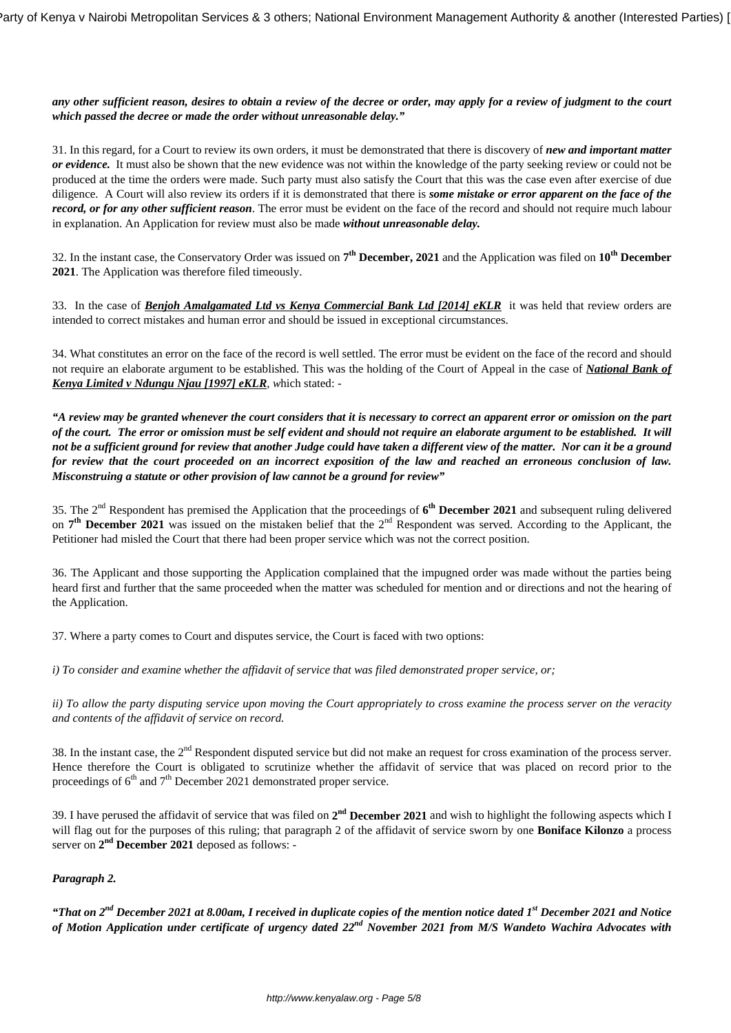*any other sufficient reason, desires to obtain a review of the decree or order, may apply for a review of judgment to the court which passed the decree or made the order without unreasonable delay."*

31. In this regard, for a Court to review its own orders, it must be demonstrated that there is discovery of *new and important matter or evidence.* It must also be shown that the new evidence was not within the knowledge of the party seeking review or could not be produced at the time the orders were made. Such party must also satisfy the Court that this was the case even after exercise of due diligence. A Court will also review its orders if it is demonstrated that there is *some mistake or error apparent on the face of the record, or for any other sufficient reason*. The error must be evident on the face of the record and should not require much labour in explanation. An Application for review must also be made *without unreasonable delay.*

32. In the instant case, the Conservatory Order was issued on **7 th December, 2021** and the Application was filed on **10th December 2021**. The Application was therefore filed timeously.

33. In the case of *Benjoh Amalgamated Ltd vs Kenya Commercial Bank Ltd [2014] eKLR* it was held that review orders are intended to correct mistakes and human error and should be issued in exceptional circumstances.

34. What constitutes an error on the face of the record is well settled. The error must be evident on the face of the record and should not require an elaborate argument to be established. This was the holding of the Court of Appeal in the case of *National Bank of Kenya Limited v Ndungu Njau [1997] eKLR, w*hich stated: -

*"A review may be granted whenever the court considers that it is necessary to correct an apparent error or omission on the part of the court. The error or omission must be self evident and should not require an elaborate argument to be established. It will not be a sufficient ground for review that another Judge could have taken a different view of the matter. Nor can it be a ground for review that the court proceeded on an incorrect exposition of the law and reached an erroneous conclusion of law. Misconstruing a statute or other provision of law cannot be a ground for review"*

35. The 2nd Respondent has premised the Application that the proceedings of **6 th December 2021** and subsequent ruling delivered on 7<sup>th</sup> December 2021 was issued on the mistaken belief that the 2<sup>nd</sup> Respondent was served. According to the Applicant, the Petitioner had misled the Court that there had been proper service which was not the correct position.

36. The Applicant and those supporting the Application complained that the impugned order was made without the parties being heard first and further that the same proceeded when the matter was scheduled for mention and or directions and not the hearing of the Application.

37. Where a party comes to Court and disputes service, the Court is faced with two options:

*i) To consider and examine whether the affidavit of service that was filed demonstrated proper service, or;*

*ii) To allow the party disputing service upon moving the Court appropriately to cross examine the process server on the veracity and contents of the affidavit of service on record.*

38. In the instant case, the 2<sup>nd</sup> Respondent disputed service but did not make an request for cross examination of the process server. Hence therefore the Court is obligated to scrutinize whether the affidavit of service that was placed on record prior to the proceedings of  $6<sup>th</sup>$  and  $7<sup>th</sup>$  December 2021 demonstrated proper service.

39. I have perused the affidavit of service that was filed on  $2<sup>nd</sup>$  December 2021 and wish to highlight the following aspects which I will flag out for the purposes of this ruling; that paragraph 2 of the affidavit of service sworn by one **Boniface Kilonzo** a process server on 2<sup>nd</sup> December 2021 deposed as follows: -

#### *Paragraph 2.*

*"That on 2nd December 2021 at 8.00am, I received in duplicate copies of the mention notice dated 1st December 2021 and Notice of Motion Application under certificate of urgency dated 22nd November 2021 from M/S Wandeto Wachira Advocates with*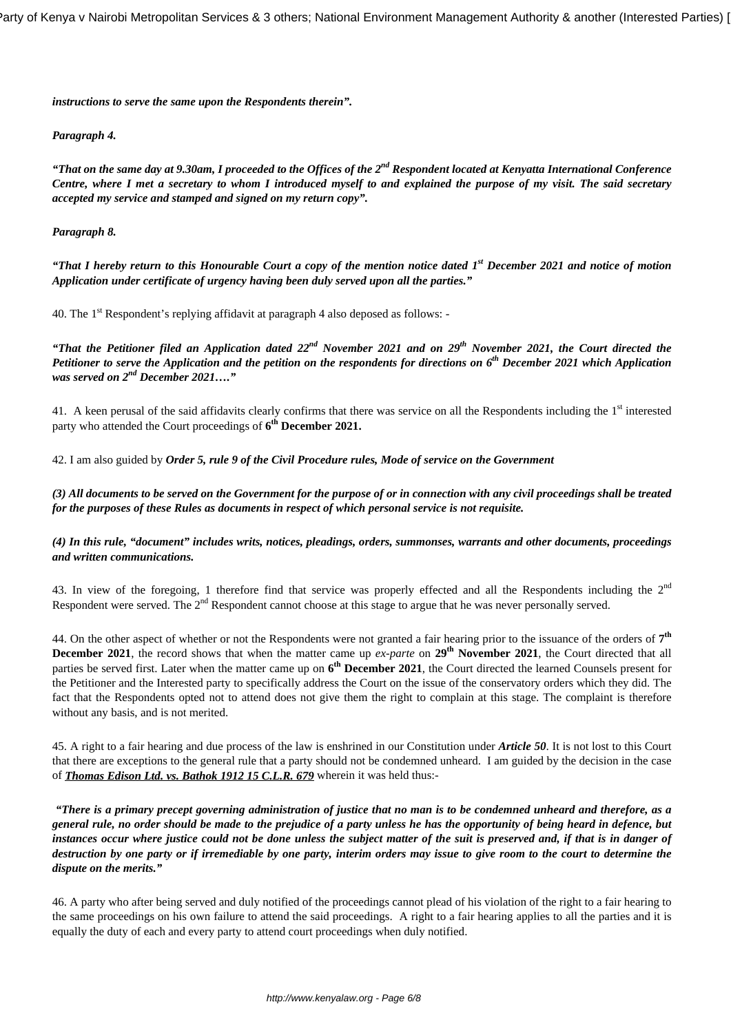*instructions to serve the same upon the Respondents therein".*

#### *Paragraph 4.*

*"That on the same day at 9.30am, I proceeded to the Offices of the 2nd Respondent located at Kenyatta International Conference Centre, where I met a secretary to whom I introduced myself to and explained the purpose of my visit. The said secretary accepted my service and stamped and signed on my return copy".*

#### *Paragraph 8.*

*"That I hereby return to this Honourable Court a copy of the mention notice dated 1st December 2021 and notice of motion Application under certificate of urgency having been duly served upon all the parties."*

40. The 1<sup>st</sup> Respondent's replying affidavit at paragraph 4 also deposed as follows: -

*"That the Petitioner filed an Application dated 22nd November 2021 and on 29th November 2021, the Court directed the Petitioner to serve the Application and the petition on the respondents for directions on 6th December 2021 which Application was served on 2nd December 2021…."*

41. A keen perusal of the said affidavits clearly confirms that there was service on all the Respondents including the 1<sup>st</sup> interested party who attended the Court proceedings of **6 th December 2021.**

42. I am also guided by *Order 5, rule 9 of the Civil Procedure rules, Mode of service on the Government* 

*(3) All documents to be served on the Government for the purpose of or in connection with any civil proceedings shall be treated for the purposes of these Rules as documents in respect of which personal service is not requisite.*

*(4) In this rule, "document" includes writs, notices, pleadings, orders, summonses, warrants and other documents, proceedings and written communications.*

43. In view of the foregoing, 1 therefore find that service was properly effected and all the Respondents including the  $2<sup>nd</sup>$ Respondent were served. The  $2<sup>nd</sup>$  Respondent cannot choose at this stage to argue that he was never personally served.

44. On the other aspect of whether or not the Respondents were not granted a fair hearing prior to the issuance of the orders of **7 th December 2021**, the record shows that when the matter came up *ex-parte* on 29<sup>th</sup> November 2021, the Court directed that all parties be served first. Later when the matter came up on **6 th December 2021**, the Court directed the learned Counsels present for the Petitioner and the Interested party to specifically address the Court on the issue of the conservatory orders which they did. The fact that the Respondents opted not to attend does not give them the right to complain at this stage. The complaint is therefore without any basis, and is not merited.

45. A right to a fair hearing and due process of the law is enshrined in our Constitution under *Article 50*. It is not lost to this Court that there are exceptions to the general rule that a party should not be condemned unheard. I am guided by the decision in the case of *Thomas Edison Ltd. vs. Bathok 1912 15 C.L.R. 679* wherein it was held thus:-

*"There is a primary precept governing administration of justice that no man is to be condemned unheard and therefore, as a general rule, no order should be made to the prejudice of a party unless he has the opportunity of being heard in defence, but instances occur where justice could not be done unless the subject matter of the suit is preserved and, if that is in danger of destruction by one party or if irremediable by one party, interim orders may issue to give room to the court to determine the dispute on the merits."*

46. A party who after being served and duly notified of the proceedings cannot plead of his violation of the right to a fair hearing to the same proceedings on his own failure to attend the said proceedings. A right to a fair hearing applies to all the parties and it is equally the duty of each and every party to attend court proceedings when duly notified.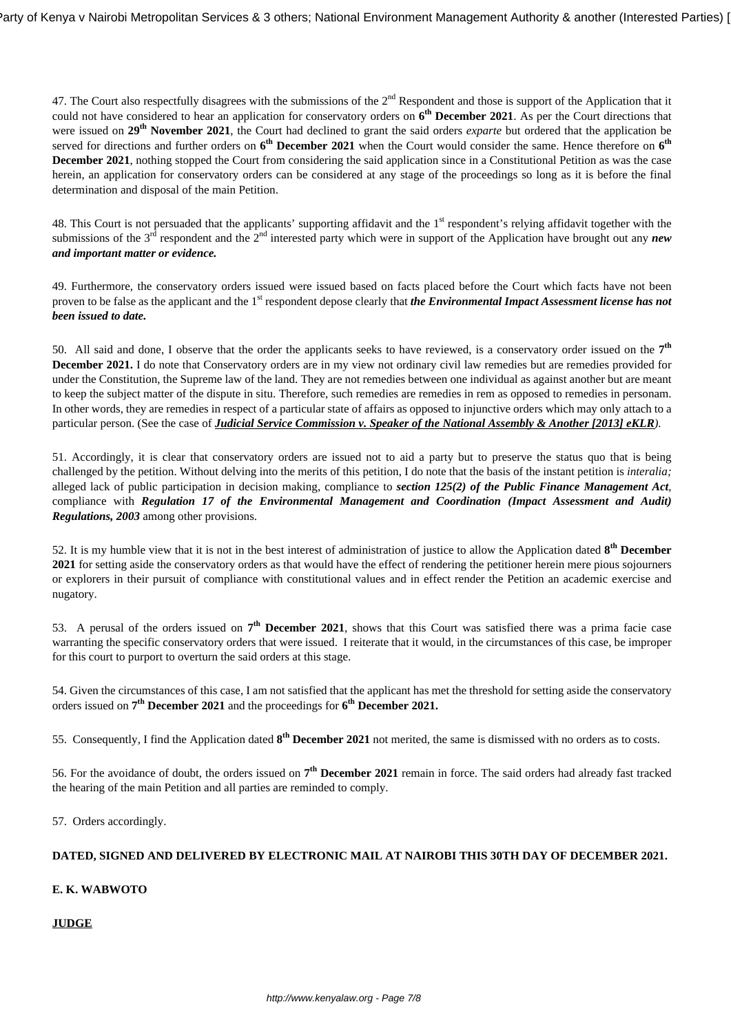47. The Court also respectfully disagrees with the submissions of the  $2<sup>nd</sup>$  Respondent and those is support of the Application that it could not have considered to hear an application for conservatory orders on **6 th December 2021**. As per the Court directions that were issued on **29th November 2021**, the Court had declined to grant the said orders *exparte* but ordered that the application be served for directions and further orders on  $6^{th}$  December 2021 when the Court would consider the same. Hence therefore on  $6^{th}$ **December 2021**, nothing stopped the Court from considering the said application since in a Constitutional Petition as was the case herein, an application for conservatory orders can be considered at any stage of the proceedings so long as it is before the final determination and disposal of the main Petition.

48. This Court is not persuaded that the applicants' supporting affidavit and the 1<sup>st</sup> respondent's relying affidavit together with the submissions of the 3<sup>rd</sup> respondent and the 2<sup>nd</sup> interested party which were in support of the Application have brought out any *new and important matter or evidence.*

49. Furthermore, the conservatory orders issued were issued based on facts placed before the Court which facts have not been proven to be false as the applicant and the 1<sup>st</sup> respondent depose clearly that *the Environmental Impact Assessment license has not been issued to date.*

50. All said and done, I observe that the order the applicants seeks to have reviewed, is a conservatory order issued on the  $7<sup>th</sup>$ **December 2021.** I do note that Conservatory orders are in my view not ordinary civil law remedies but are remedies provided for under the Constitution, the Supreme law of the land. They are not remedies between one individual as against another but are meant to keep the subject matter of the dispute in situ. Therefore, such remedies are remedies in rem as opposed to remedies in personam. In other words, they are remedies in respect of a particular state of affairs as opposed to injunctive orders which may only attach to a particular person. (See the case of *Judicial Service Commission v. Speaker of the National Assembly & Another [2013] eKLR).*

51. Accordingly, it is clear that conservatory orders are issued not to aid a party but to preserve the status quo that is being challenged by the petition. Without delving into the merits of this petition, I do note that the basis of the instant petition is *interalia;* alleged lack of public participation in decision making, compliance to *section 125(2) of the Public Finance Management Act*, compliance with *Regulation 17 of the Environmental Management and Coordination (Impact Assessment and Audit) Regulations, 2003* among other provisions.

52. It is my humble view that it is not in the best interest of administration of justice to allow the Application dated **8 th December 2021** for setting aside the conservatory orders as that would have the effect of rendering the petitioner herein mere pious sojourners or explorers in their pursuit of compliance with constitutional values and in effect render the Petition an academic exercise and nugatory.

53. A perusal of the orders issued on  $7<sup>th</sup>$  December 2021, shows that this Court was satisfied there was a prima facie case warranting the specific conservatory orders that were issued. I reiterate that it would, in the circumstances of this case, be improper for this court to purport to overturn the said orders at this stage.

54. Given the circumstances of this case, I am not satisfied that the applicant has met the threshold for setting aside the conservatory orders issued on **7 th December 2021** and the proceedings for **6 th December 2021.** 

55. Consequently, I find the Application dated  $8^{th}$  December 2021 not merited, the same is dismissed with no orders as to costs.

56. For the avoidance of doubt, the orders issued on **7 th December 2021** remain in force. The said orders had already fast tracked the hearing of the main Petition and all parties are reminded to comply.

57. Orders accordingly.

# **DATED, SIGNED AND DELIVERED BY ELECTRONIC MAIL AT NAIROBI THIS 30TH DAY OF DECEMBER 2021.**

#### **E. K. WABWOTO**

**JUDGE**